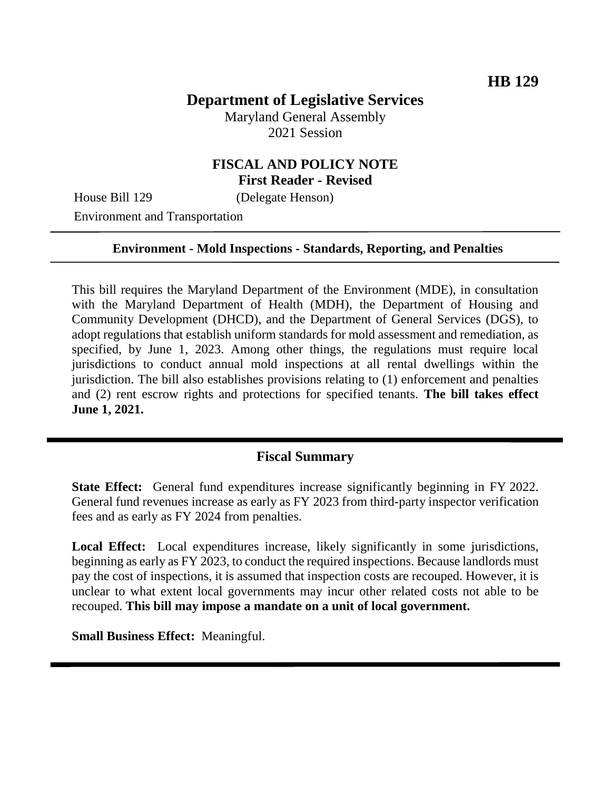# **Department of Legislative Services**

Maryland General Assembly 2021 Session

## **FISCAL AND POLICY NOTE First Reader - Revised**

House Bill 129 (Delegate Henson)

Environment and Transportation

#### **Environment - Mold Inspections - Standards, Reporting, and Penalties**

This bill requires the Maryland Department of the Environment (MDE), in consultation with the Maryland Department of Health (MDH), the Department of Housing and Community Development (DHCD), and the Department of General Services (DGS), to adopt regulations that establish uniform standards for mold assessment and remediation, as specified, by June 1, 2023. Among other things, the regulations must require local jurisdictions to conduct annual mold inspections at all rental dwellings within the jurisdiction. The bill also establishes provisions relating to (1) enforcement and penalties and (2) rent escrow rights and protections for specified tenants. **The bill takes effect June 1, 2021.** 

# **Fiscal Summary**

**State Effect:** General fund expenditures increase significantly beginning in FY 2022. General fund revenues increase as early as FY 2023 from third-party inspector verification fees and as early as FY 2024 from penalties.

Local Effect: Local expenditures increase, likely significantly in some jurisdictions, beginning as early as FY 2023, to conduct the required inspections. Because landlords must pay the cost of inspections, it is assumed that inspection costs are recouped. However, it is unclear to what extent local governments may incur other related costs not able to be recouped. **This bill may impose a mandate on a unit of local government.**

**Small Business Effect:** Meaningful.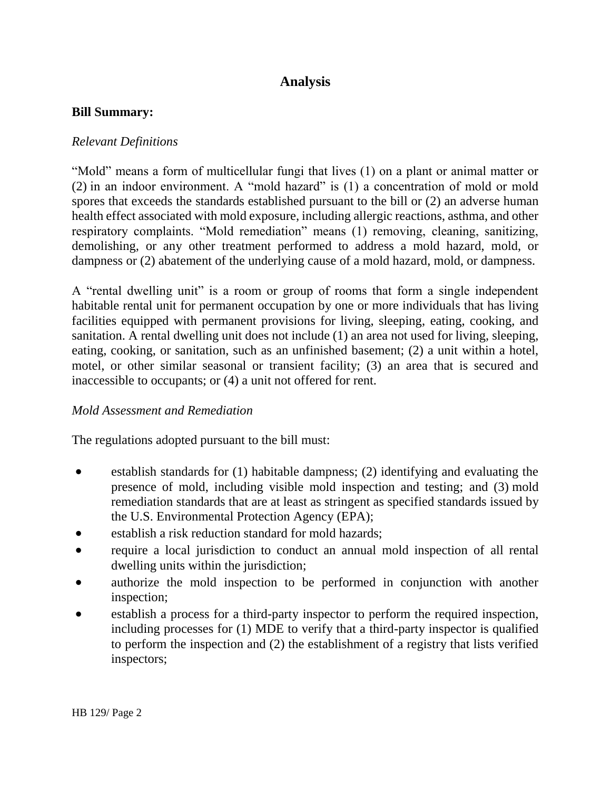# **Analysis**

#### **Bill Summary:**

### *Relevant Definitions*

"Mold" means a form of multicellular fungi that lives (1) on a plant or animal matter or (2) in an indoor environment. A "mold hazard" is (1) a concentration of mold or mold spores that exceeds the standards established pursuant to the bill or (2) an adverse human health effect associated with mold exposure, including allergic reactions, asthma, and other respiratory complaints. "Mold remediation" means (1) removing, cleaning, sanitizing, demolishing, or any other treatment performed to address a mold hazard, mold, or dampness or (2) abatement of the underlying cause of a mold hazard, mold, or dampness.

A "rental dwelling unit" is a room or group of rooms that form a single independent habitable rental unit for permanent occupation by one or more individuals that has living facilities equipped with permanent provisions for living, sleeping, eating, cooking, and sanitation. A rental dwelling unit does not include (1) an area not used for living, sleeping, eating, cooking, or sanitation, such as an unfinished basement; (2) a unit within a hotel, motel, or other similar seasonal or transient facility; (3) an area that is secured and inaccessible to occupants; or (4) a unit not offered for rent.

# *Mold Assessment and Remediation*

The regulations adopted pursuant to the bill must:

- establish standards for (1) habitable dampness; (2) identifying and evaluating the presence of mold, including visible mold inspection and testing; and (3) mold remediation standards that are at least as stringent as specified standards issued by the U.S. Environmental Protection Agency (EPA);
- establish a risk reduction standard for mold hazards;
- require a local jurisdiction to conduct an annual mold inspection of all rental dwelling units within the jurisdiction;
- authorize the mold inspection to be performed in conjunction with another inspection;
- establish a process for a third-party inspector to perform the required inspection, including processes for (1) MDE to verify that a third-party inspector is qualified to perform the inspection and (2) the establishment of a registry that lists verified inspectors;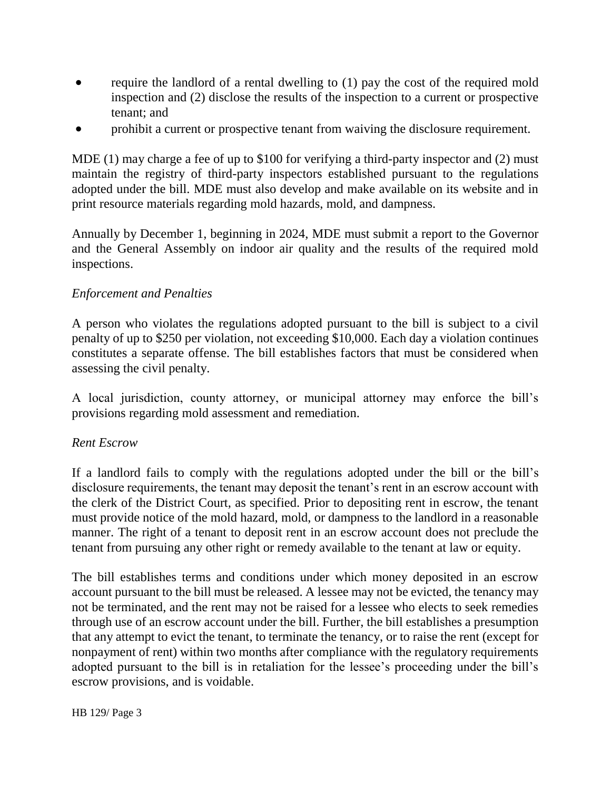- require the landlord of a rental dwelling to (1) pay the cost of the required mold inspection and (2) disclose the results of the inspection to a current or prospective tenant; and
- prohibit a current or prospective tenant from waiving the disclosure requirement.

MDE (1) may charge a fee of up to \$100 for verifying a third-party inspector and (2) must maintain the registry of third-party inspectors established pursuant to the regulations adopted under the bill. MDE must also develop and make available on its website and in print resource materials regarding mold hazards, mold, and dampness.

Annually by December 1, beginning in 2024, MDE must submit a report to the Governor and the General Assembly on indoor air quality and the results of the required mold inspections.

# *Enforcement and Penalties*

A person who violates the regulations adopted pursuant to the bill is subject to a civil penalty of up to \$250 per violation, not exceeding \$10,000. Each day a violation continues constitutes a separate offense. The bill establishes factors that must be considered when assessing the civil penalty.

A local jurisdiction, county attorney, or municipal attorney may enforce the bill's provisions regarding mold assessment and remediation.

#### *Rent Escrow*

If a landlord fails to comply with the regulations adopted under the bill or the bill's disclosure requirements, the tenant may deposit the tenant's rent in an escrow account with the clerk of the District Court, as specified. Prior to depositing rent in escrow, the tenant must provide notice of the mold hazard, mold, or dampness to the landlord in a reasonable manner. The right of a tenant to deposit rent in an escrow account does not preclude the tenant from pursuing any other right or remedy available to the tenant at law or equity.

The bill establishes terms and conditions under which money deposited in an escrow account pursuant to the bill must be released. A lessee may not be evicted, the tenancy may not be terminated, and the rent may not be raised for a lessee who elects to seek remedies through use of an escrow account under the bill. Further, the bill establishes a presumption that any attempt to evict the tenant, to terminate the tenancy, or to raise the rent (except for nonpayment of rent) within two months after compliance with the regulatory requirements adopted pursuant to the bill is in retaliation for the lessee's proceeding under the bill's escrow provisions, and is voidable.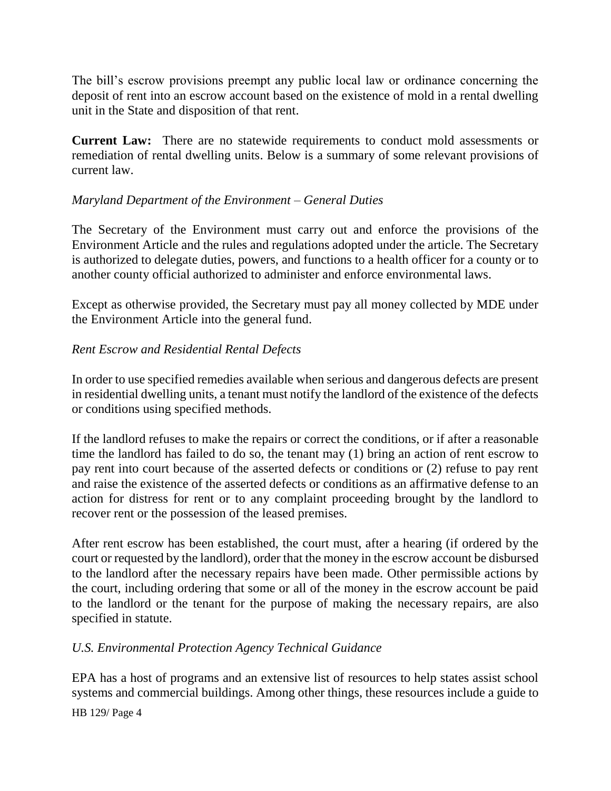The bill's escrow provisions preempt any public local law or ordinance concerning the deposit of rent into an escrow account based on the existence of mold in a rental dwelling unit in the State and disposition of that rent.

**Current Law:** There are no statewide requirements to conduct mold assessments or remediation of rental dwelling units. Below is a summary of some relevant provisions of current law.

# *Maryland Department of the Environment – General Duties*

The Secretary of the Environment must carry out and enforce the provisions of the Environment Article and the rules and regulations adopted under the article. The Secretary is authorized to delegate duties, powers, and functions to a health officer for a county or to another county official authorized to administer and enforce environmental laws.

Except as otherwise provided, the Secretary must pay all money collected by MDE under the Environment Article into the general fund.

# *Rent Escrow and Residential Rental Defects*

In order to use specified remedies available when serious and dangerous defects are present in residential dwelling units, a tenant must notify the landlord of the existence of the defects or conditions using specified methods.

If the landlord refuses to make the repairs or correct the conditions, or if after a reasonable time the landlord has failed to do so, the tenant may (1) bring an action of rent escrow to pay rent into court because of the asserted defects or conditions or (2) refuse to pay rent and raise the existence of the asserted defects or conditions as an affirmative defense to an action for distress for rent or to any complaint proceeding brought by the landlord to recover rent or the possession of the leased premises.

After rent escrow has been established, the court must, after a hearing (if ordered by the court or requested by the landlord), order that the money in the escrow account be disbursed to the landlord after the necessary repairs have been made. Other permissible actions by the court, including ordering that some or all of the money in the escrow account be paid to the landlord or the tenant for the purpose of making the necessary repairs, are also specified in statute.

# *U.S. Environmental Protection Agency Technical Guidance*

EPA has a host of programs and an extensive list of resources to help states assist school systems and commercial buildings. Among other things, these resources include a guide to

HB 129/ Page 4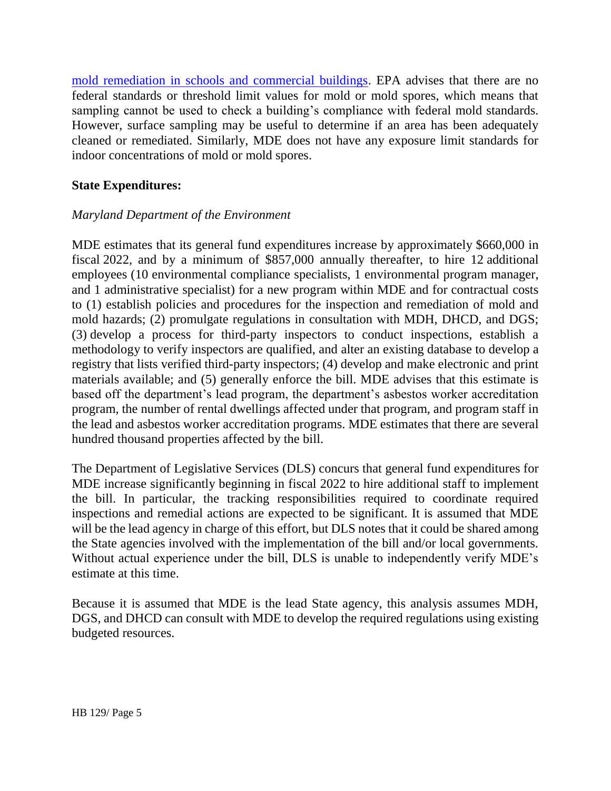[mold remediation in schools and commercial buildings.](https://www.epa.gov/sites/production/files/2014-08/documents/moldremediation.pdf) EPA advises that there are no federal standards or threshold limit values for mold or mold spores, which means that sampling cannot be used to check a building's compliance with federal mold standards. However, surface sampling may be useful to determine if an area has been adequately cleaned or remediated. Similarly, MDE does not have any exposure limit standards for indoor concentrations of mold or mold spores.

# **State Expenditures:**

# *Maryland Department of the Environment*

MDE estimates that its general fund expenditures increase by approximately \$660,000 in fiscal 2022, and by a minimum of \$857,000 annually thereafter, to hire 12 additional employees (10 environmental compliance specialists, 1 environmental program manager, and 1 administrative specialist) for a new program within MDE and for contractual costs to (1) establish policies and procedures for the inspection and remediation of mold and mold hazards; (2) promulgate regulations in consultation with MDH, DHCD, and DGS; (3) develop a process for third-party inspectors to conduct inspections, establish a methodology to verify inspectors are qualified, and alter an existing database to develop a registry that lists verified third-party inspectors; (4) develop and make electronic and print materials available; and (5) generally enforce the bill. MDE advises that this estimate is based off the department's lead program, the department's asbestos worker accreditation program, the number of rental dwellings affected under that program, and program staff in the lead and asbestos worker accreditation programs. MDE estimates that there are several hundred thousand properties affected by the bill.

The Department of Legislative Services (DLS) concurs that general fund expenditures for MDE increase significantly beginning in fiscal 2022 to hire additional staff to implement the bill. In particular, the tracking responsibilities required to coordinate required inspections and remedial actions are expected to be significant. It is assumed that MDE will be the lead agency in charge of this effort, but DLS notes that it could be shared among the State agencies involved with the implementation of the bill and/or local governments. Without actual experience under the bill, DLS is unable to independently verify MDE's estimate at this time.

Because it is assumed that MDE is the lead State agency, this analysis assumes MDH, DGS, and DHCD can consult with MDE to develop the required regulations using existing budgeted resources.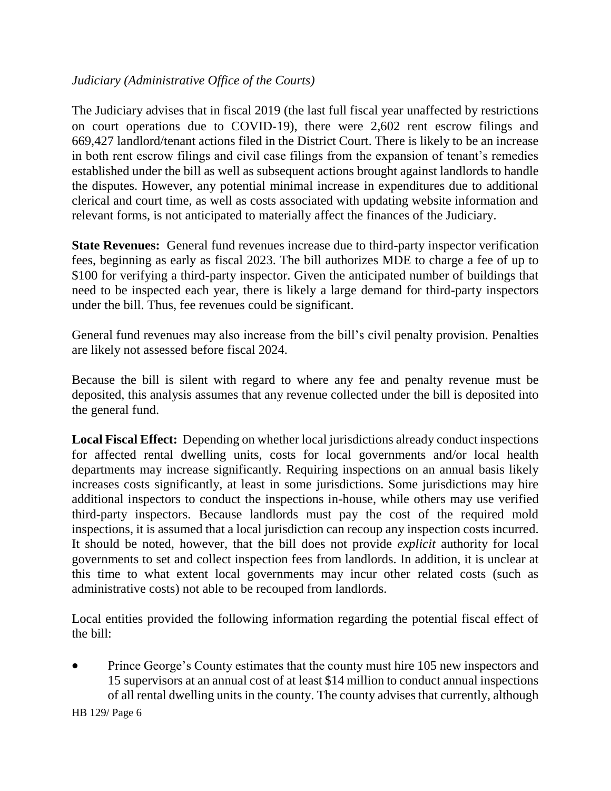# *Judiciary (Administrative Office of the Courts)*

The Judiciary advises that in fiscal 2019 (the last full fiscal year unaffected by restrictions on court operations due to COVID-19), there were 2,602 rent escrow filings and 669,427 landlord/tenant actions filed in the District Court. There is likely to be an increase in both rent escrow filings and civil case filings from the expansion of tenant's remedies established under the bill as well as subsequent actions brought against landlords to handle the disputes. However, any potential minimal increase in expenditures due to additional clerical and court time, as well as costs associated with updating website information and relevant forms, is not anticipated to materially affect the finances of the Judiciary.

**State Revenues:** General fund revenues increase due to third-party inspector verification fees, beginning as early as fiscal 2023. The bill authorizes MDE to charge a fee of up to \$100 for verifying a third-party inspector. Given the anticipated number of buildings that need to be inspected each year, there is likely a large demand for third-party inspectors under the bill. Thus, fee revenues could be significant.

General fund revenues may also increase from the bill's civil penalty provision. Penalties are likely not assessed before fiscal 2024.

Because the bill is silent with regard to where any fee and penalty revenue must be deposited, this analysis assumes that any revenue collected under the bill is deposited into the general fund.

**Local Fiscal Effect:** Depending on whether local jurisdictions already conduct inspections for affected rental dwelling units, costs for local governments and/or local health departments may increase significantly. Requiring inspections on an annual basis likely increases costs significantly, at least in some jurisdictions. Some jurisdictions may hire additional inspectors to conduct the inspections in-house, while others may use verified third-party inspectors. Because landlords must pay the cost of the required mold inspections, it is assumed that a local jurisdiction can recoup any inspection costs incurred. It should be noted, however, that the bill does not provide *explicit* authority for local governments to set and collect inspection fees from landlords. In addition, it is unclear at this time to what extent local governments may incur other related costs (such as administrative costs) not able to be recouped from landlords.

Local entities provided the following information regarding the potential fiscal effect of the bill:

 Prince George's County estimates that the county must hire 105 new inspectors and 15 supervisors at an annual cost of at least \$14 million to conduct annual inspections of all rental dwelling units in the county. The county advises that currently, although

HB 129/ Page 6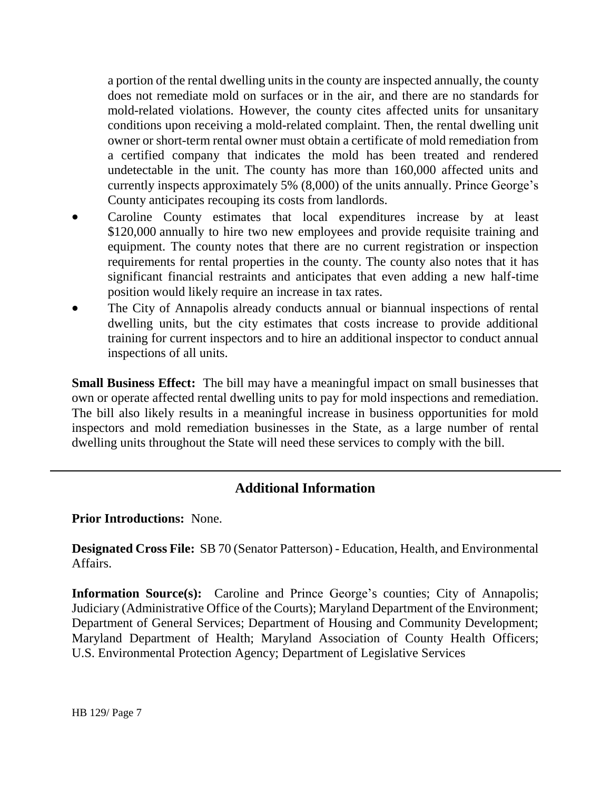a portion of the rental dwelling units in the county are inspected annually, the county does not remediate mold on surfaces or in the air, and there are no standards for mold-related violations. However, the county cites affected units for unsanitary conditions upon receiving a mold-related complaint. Then, the rental dwelling unit owner or short-term rental owner must obtain a certificate of mold remediation from a certified company that indicates the mold has been treated and rendered undetectable in the unit. The county has more than 160,000 affected units and currently inspects approximately 5% (8,000) of the units annually. Prince George's County anticipates recouping its costs from landlords.

- Caroline County estimates that local expenditures increase by at least \$120,000 annually to hire two new employees and provide requisite training and equipment. The county notes that there are no current registration or inspection requirements for rental properties in the county. The county also notes that it has significant financial restraints and anticipates that even adding a new half-time position would likely require an increase in tax rates.
- The City of Annapolis already conducts annual or biannual inspections of rental dwelling units, but the city estimates that costs increase to provide additional training for current inspectors and to hire an additional inspector to conduct annual inspections of all units.

**Small Business Effect:** The bill may have a meaningful impact on small businesses that own or operate affected rental dwelling units to pay for mold inspections and remediation. The bill also likely results in a meaningful increase in business opportunities for mold inspectors and mold remediation businesses in the State, as a large number of rental dwelling units throughout the State will need these services to comply with the bill.

# **Additional Information**

**Prior Introductions:** None.

**Designated Cross File:** SB 70 (Senator Patterson) - Education, Health, and Environmental Affairs.

**Information Source(s):** Caroline and Prince George's counties; City of Annapolis; Judiciary (Administrative Office of the Courts); Maryland Department of the Environment; Department of General Services; Department of Housing and Community Development; Maryland Department of Health; Maryland Association of County Health Officers; U.S. Environmental Protection Agency; Department of Legislative Services